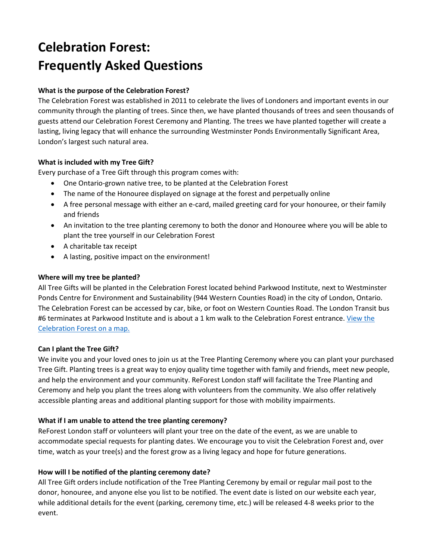# **Celebration Forest: Frequently Asked Questions**

## **What is the purpose of the Celebration Forest?**

The Celebration Forest was established in 2011 to celebrate the lives of Londoners and important events in our community through the planting of trees. Since then, we have planted thousands of trees and seen thousands of guests attend our Celebration Forest Ceremony and Planting. The trees we have planted together will create a lasting, living legacy that will enhance the surrounding Westminster Ponds Environmentally Significant Area, London's largest such natural area.

## **What is included with my Tree Gift?**

Every purchase of a Tree Gift through this program comes with:

- One Ontario-grown native tree, to be planted at the Celebration Forest
- The name of the Honouree displayed on signage at the forest and perpetually online
- A free personal message with either an e-card, mailed greeting card for your honouree, or their family and friends
- An invitation to the tree planting ceremony to both the donor and Honouree where you will be able to plant the tree yourself in our Celebration Forest
- A charitable tax receipt
- A lasting, positive impact on the environment!

## **Where will my tree be planted?**

All Tree Gifts will be planted in the Celebration Forest located behind Parkwood Institute, next to Westminster Ponds Centre for Environment and Sustainability (944 Western Counties Road) in the city of London, Ontario. The Celebration Forest can be accessed by car, bike, or foot on Western Counties Road. The London Transit bus #6 terminates at Parkwood Institute and is about a 1 km walk to the Celebration Forest entrance. View the [Celebration Forest on a map.](https://www.google.ca/maps/place/Celebration+Forest/@42.9543147,-81.2241232,17z/data=!4m5!3m4!1s0x0:0xa2b4238c50267c2!8m2!3d42.9543147!4d-81.2219346)

## **Can I plant the Tree Gift?**

We invite you and your loved ones to join us at the Tree Planting Ceremony where you can plant your purchased Tree Gift. Planting trees is a great way to enjoy quality time together with family and friends, meet new people, and help the environment and your community. ReForest London staff will facilitate the Tree Planting and Ceremony and help you plant the trees along with volunteers from the community. We also offer relatively accessible planting areas and additional planting support for those with mobility impairments.

## **What if I am unable to attend the tree planting ceremony?**

ReForest London staff or volunteers will plant your tree on the date of the event, as we are unable to accommodate special requests for planting dates. We encourage you to visit the Celebration Forest and, over time, watch as your tree(s) and the forest grow as a living legacy and hope for future generations.

## **How will I be notified of the planting ceremony date?**

All Tree Gift orders include notification of the Tree Planting Ceremony by email or regular mail post to the donor, honouree, and anyone else you list to be notified. The event date is listed on our website each year, while additional details for the event (parking, ceremony time, etc.) will be released 4-8 weeks prior to the event.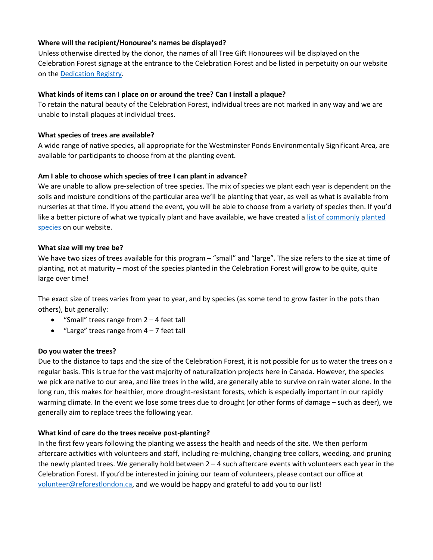## **Where will the recipient/Honouree's names be displayed?**

Unless otherwise directed by the donor, the names of all Tree Gift Honourees will be displayed on the Celebration Forest signage at the entrance to the Celebration Forest and be listed in perpetuity on our website on th[e Dedication Registry.](https://www.reforestlondon.ca/dedication-registry)

#### **What kinds of items can I place on or around the tree? Can I install a plaque?**

To retain the natural beauty of the Celebration Forest, individual trees are not marked in any way and we are unable to install plaques at individual trees.

#### **What species of trees are available?**

A wide range of native species, all appropriate for the Westminster Ponds Environmentally Significant Area, are available for participants to choose from at the planting event.

#### **Am I able to choose which species of tree I can plant in advance?**

We are unable to allow pre-selection of tree species. The mix of species we plant each year is dependent on the soils and moisture conditions of the particular area we'll be planting that year, as well as what is available from nurseries at that time. If you attend the event, you will be able to choose from a variety of species then. If you'd like a better picture of what we typically plant and have available, we have created a [list of commonly planted](https://www.reforestlondon.ca/tree-species-list)  [species](https://www.reforestlondon.ca/tree-species-list) on our website.

#### **What size will my tree be?**

We have two sizes of trees available for this program – "small" and "large". The size refers to the size at time of planting, not at maturity – most of the species planted in the Celebration Forest will grow to be quite, quite large over time!

The exact size of trees varies from year to year, and by species (as some tend to grow faster in the pots than others), but generally:

- "Small" trees range from 2 4 feet tall
- "Large" trees range from  $4 7$  feet tall

#### **Do you water the trees?**

Due to the distance to taps and the size of the Celebration Forest, it is not possible for us to water the trees on a regular basis. This is true for the vast majority of naturalization projects here in Canada. However, the species we pick are native to our area, and like trees in the wild, are generally able to survive on rain water alone. In the long run, this makes for healthier, more drought-resistant forests, which is especially important in our rapidly warming climate. In the event we lose some trees due to drought (or other forms of damage – such as deer), we generally aim to replace trees the following year.

#### **What kind of care do the trees receive post-planting?**

In the first few years following the planting we assess the health and needs of the site. We then perform aftercare activities with volunteers and staff, including re-mulching, changing tree collars, weeding, and pruning the newly planted trees. We generally hold between  $2 - 4$  such aftercare events with volunteers each year in the Celebration Forest. If you'd be interested in joining our team of volunteers, please contact our office at [volunteer@reforestlondon.ca,](mailto:volunteer@reforestlondon.ca) and we would be happy and grateful to add you to our list!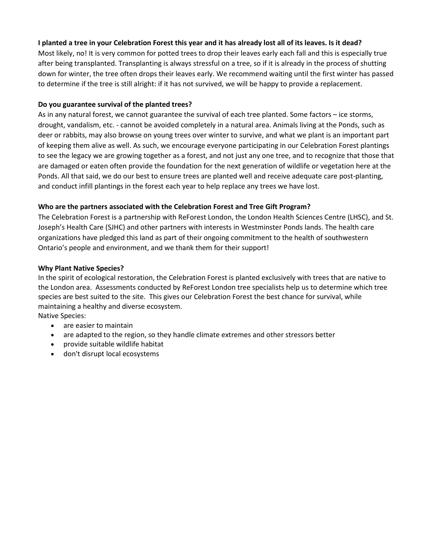## **I planted a tree in your Celebration Forest this year and it has already lost all of its leaves. Is it dead?**

Most likely, no! It is very common for potted trees to drop their leaves early each fall and this is especially true after being transplanted. Transplanting is always stressful on a tree, so if it is already in the process of shutting down for winter, the tree often drops their leaves early. We recommend waiting until the first winter has passed to determine if the tree is still alright: if it has not survived, we will be happy to provide a replacement.

## **Do you guarantee survival of the planted trees?**

As in any natural forest, we cannot guarantee the survival of each tree planted. Some factors – ice storms, drought, vandalism, etc. - cannot be avoided completely in a natural area. Animals living at the Ponds, such as deer or rabbits, may also browse on young trees over winter to survive, and what we plant is an important part of keeping them alive as well. As such, we encourage everyone participating in our Celebration Forest plantings to see the legacy we are growing together as a forest, and not just any one tree, and to recognize that those that are damaged or eaten often provide the foundation for the next generation of wildlife or vegetation here at the Ponds. All that said, we do our best to ensure trees are planted well and receive adequate care post-planting, and conduct infill plantings in the forest each year to help replace any trees we have lost.

## **Who are the partners associated with the Celebration Forest and Tree Gift Program?**

The Celebration Forest is a partnership with ReForest London, the London Health Sciences Centre (LHSC), and St. Joseph's Health Care (SJHC) and other partners with interests in Westminster Ponds lands. The health care organizations have pledged this land as part of their ongoing commitment to the health of southwestern Ontario's people and environment, and we thank them for their support!

## **Why Plant Native Species?**

In the spirit of ecological restoration, the Celebration Forest is planted exclusively with trees that are native to the London area. Assessments conducted by ReForest London tree specialists help us to determine which tree species are best suited to the site. This gives our Celebration Forest the best chance for survival, while maintaining a healthy and diverse ecosystem.

Native Species: • are easier to maintain

- are adapted to the region, so they handle climate extremes and other stressors better
- provide suitable wildlife habitat
- don't disrupt local ecosystems